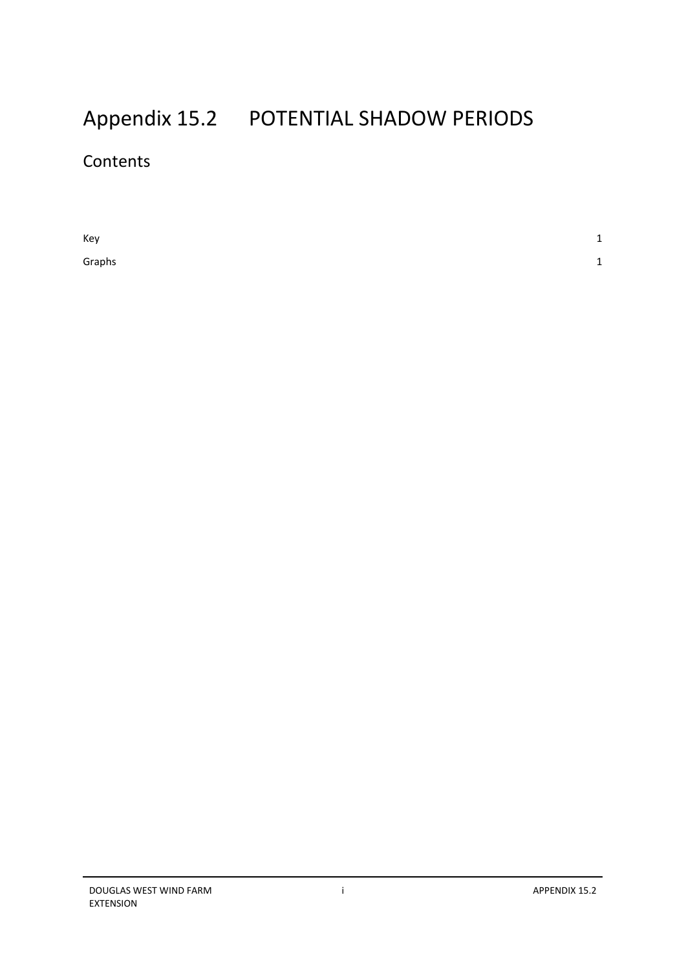## Appendix 15.2 POTENTIAL SHADOW PERIODS

## **Contents**

| Key    | $\mathbf{1}$ |
|--------|--------------|
| Graphs | $\mathbf{1}$ |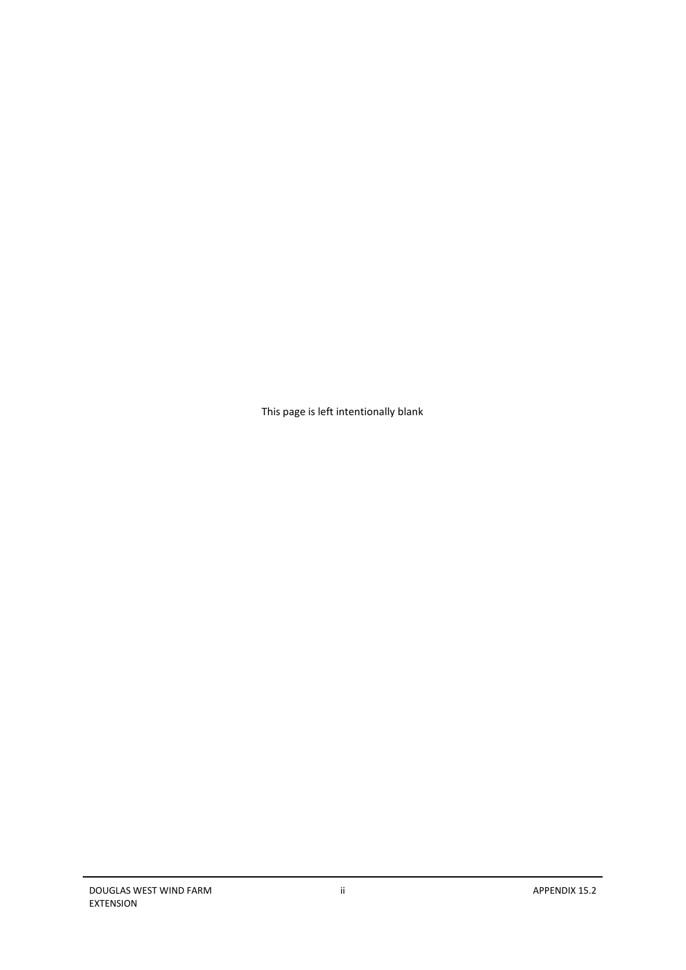This page is left intentionally blank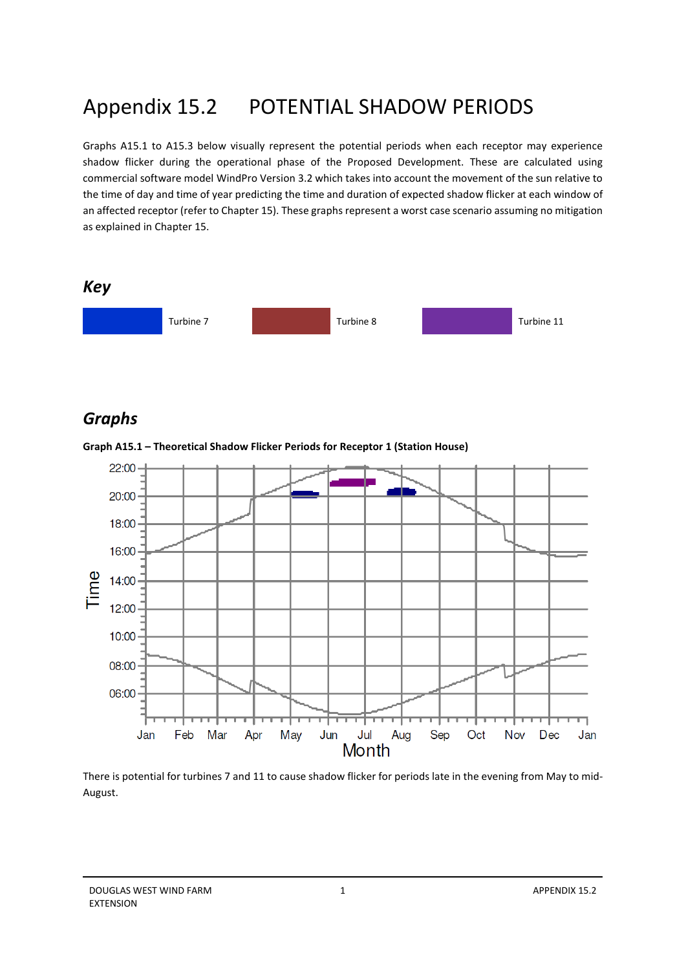## Appendix 15.2 POTENTIAL SHADOW PERIODS

<span id="page-2-0"></span>Graphs A15.1 to A15.3 below visually represent the potential periods when each receptor may experience shadow flicker during the operational phase of the Proposed Development. These are calculated using commercial software model WindPro Version 3.2 which takes into account the movement of the sun relative to the time of day and time of year predicting the time and duration of expected shadow flicker at each window of an affected receptor (refer to Chapter 15). These graphs represent a worst case scenario assuming no mitigation as explained in Chapter 15.



## *Graphs*



**Graph A15.1 – Theoretical Shadow Flicker Periods for Receptor 1 (Station House)**

There is potential for turbines 7 and 11 to cause shadow flicker for periods late in the evening from May to mid-August.